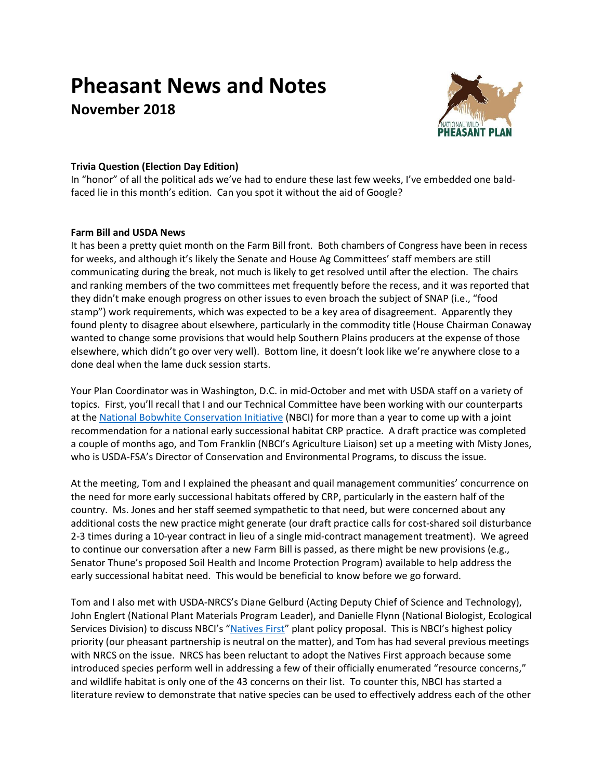# **Pheasant News and Notes**

**November 2018**



# **Trivia Question (Election Day Edition)**

In "honor" of all the political ads we've had to endure these last few weeks, I've embedded one baldfaced lie in this month's edition. Can you spot it without the aid of Google?

## **Farm Bill and USDA News**

It has been a pretty quiet month on the Farm Bill front. Both chambers of Congress have been in recess for weeks, and although it's likely the Senate and House Ag Committees' staff members are still communicating during the break, not much is likely to get resolved until after the election. The chairs and ranking members of the two committees met frequently before the recess, and it was reported that they didn't make enough progress on other issues to even broach the subject of SNAP (i.e., "food stamp") work requirements, which was expected to be a key area of disagreement. Apparently they found plenty to disagree about elsewhere, particularly in the commodity title (House Chairman Conaway wanted to change some provisions that would help Southern Plains producers at the expense of those elsewhere, which didn't go over very well). Bottom line, it doesn't look like we're anywhere close to a done deal when the lame duck session starts.

Your Plan Coordinator was in Washington, D.C. in mid-October and met with USDA staff on a variety of topics. First, you'll recall that I and our Technical Committee have been working with our counterparts at the [National Bobwhite Conservation Initiative](https://bringbackbobwhites.org/) (NBCI) for more than a year to come up with a joint recommendation for a national early successional habitat CRP practice. A draft practice was completed a couple of months ago, and Tom Franklin (NBCI's Agriculture Liaison) set up a meeting with Misty Jones, who is USDA-FSA's Director of Conservation and Environmental Programs, to discuss the issue.

At the meeting, Tom and I explained the pheasant and quail management communities' concurrence on the need for more early successional habitats offered by CRP, particularly in the eastern half of the country. Ms. Jones and her staff seemed sympathetic to that need, but were concerned about any additional costs the new practice might generate (our draft practice calls for cost-shared soil disturbance 2-3 times during a 10-year contract in lieu of a single mid-contract management treatment). We agreed to continue our conversation after a new Farm Bill is passed, as there might be new provisions (e.g., Senator Thune's proposed Soil Health and Income Protection Program) available to help address the early successional habitat need. This would be beneficial to know before we go forward.

Tom and I also met with USDA-NRCS's Diane Gelburd (Acting Deputy Chief of Science and Technology), John Englert (National Plant Materials Program Leader), and Danielle Flynn (National Biologist, Ecological Services Division) to discuss NBCI's "[Natives First](https://bringbackbobwhites.org/conservation/natives-first/)" plant policy proposal. This is NBCI's highest policy priority (our pheasant partnership is neutral on the matter), and Tom has had several previous meetings with NRCS on the issue. NRCS has been reluctant to adopt the Natives First approach because some introduced species perform well in addressing a few of their officially enumerated "resource concerns," and wildlife habitat is only one of the 43 concerns on their list. To counter this, NBCI has started a literature review to demonstrate that native species can be used to effectively address each of the other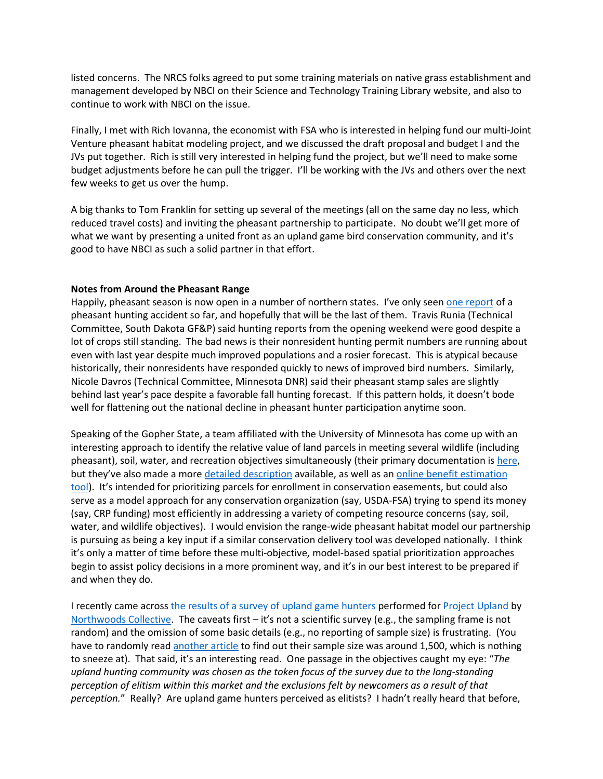listed concerns. The NRCS folks agreed to put some training materials on native grass establishment and management developed by NBCI on their Science and Technology Training Library website, and also to continue to work with NBCI on the issue.

Finally, I met with Rich Iovanna, the economist with FSA who is interested in helping fund our multi-Joint Venture pheasant habitat modeling project, and we discussed the draft proposal and budget I and the JVs put together. Rich is still very interested in helping fund the project, but we'll need to make some budget adjustments before he can pull the trigger. I'll be working with the JVs and others over the next few weeks to get us over the hump.

A big thanks to Tom Franklin for setting up several of the meetings (all on the same day no less, which reduced travel costs) and inviting the pheasant partnership to participate. No doubt we'll get more of what we want by presenting a united front as an upland game bird conservation community, and it's good to have NBCI as such a solid partner in that effort.

#### **Notes from Around the Pheasant Range**

Happily, pheasant season is now open in a number of northern states. I've only seen [one report](https://www.kdlt.com/2017/10/27/hunter-shot-nose/) of a pheasant hunting accident so far, and hopefully that will be the last of them. Travis Runia (Technical Committee, South Dakota GF&P) said hunting reports from the opening weekend were good despite a lot of crops still standing. The bad news is their nonresident hunting permit numbers are running about even with last year despite much improved populations and a rosier forecast. This is atypical because historically, their nonresidents have responded quickly to news of improved bird numbers. Similarly, Nicole Davros (Technical Committee, Minnesota DNR) said their pheasant stamp sales are slightly behind last year's pace despite a favorable fall hunting forecast. If this pattern holds, it doesn't bode well for flattening out the national decline in pheasant hunter participation anytime soon.

Speaking of the Gopher State, a team affiliated with the University of Minnesota has come up with an interesting approach to identify the relative value of land parcels in meeting several wildlife (including pheasant), soil, water, and recreation objectives simultaneously (their primary documentation i[s here,](https://z.umn.edu/pebat-final-report) but they've also made a more detailed [description](https://mnnaturalresourceatlas.org/metadata/risk_of_change_metric.pdf) available, as well as an online benefit estimation [tool\)](http://pebat.umn.edu/). It's intended for prioritizing parcels for enrollment in conservation easements, but could also serve as a model approach for any conservation organization (say, USDA-FSA) trying to spend its money (say, CRP funding) most efficiently in addressing a variety of competing resource concerns (say, soil, water, and wildlife objectives). I would envision the range-wide pheasant habitat model our partnership is pursuing as being a key input if a similar conservation delivery tool was developed nationally. I think it's only a matter of time before these multi-objective, model-based spatial prioritization approaches begin to assist policy decisions in a more prominent way, and it's in our best interest to be prepared if and when they do.

I recently came across [the results of a survey of upland game hunters](http://r3industry.com/index.php/2018/08/21/2018-national-upland-bird-hunting-survey/) performed for [Project Upland](https://www.projectupland.com/) by [Northwoods Collective.](http://r3industry.com/) The caveats first – it's not a scientific survey (e.g., the sampling frame is not random) and the omission of some basic details (e.g., no reporting of sample size) is frustrating. (You have to randomly read [another article](http://r3industry.com/index.php/2018/07/25/the-word-sport-in-hunting-2/) to find out their sample size was around 1,500, which is nothing to sneeze at). That said, it's an interesting read. One passage in the objectives caught my eye: "*The upland hunting community was chosen as the token focus of the survey due to the long-standing perception of elitism within this market and the exclusions felt by newcomers as a result of that perception.*" Really? Are upland game hunters perceived as elitists? I hadn't really heard that before,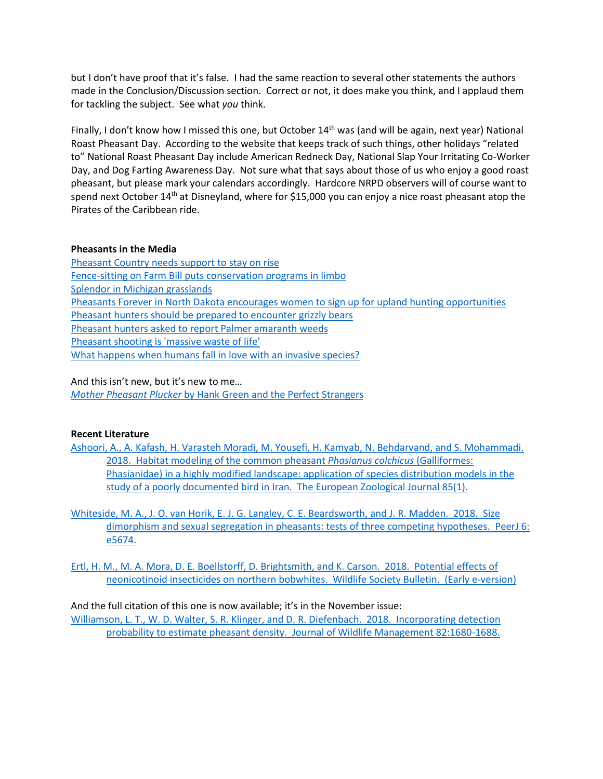but I don't have proof that it's false. I had the same reaction to several other statements the authors made in the Conclusion/Discussion section. Correct or not, it does make you think, and I applaud them for tackling the subject. See what *you* think.

Finally, I don't know how I missed this one, but October 14<sup>th</sup> was (and will be again, next year) National Roast Pheasant Day. According to the website that keeps track of such things, other holidays "related to" National Roast Pheasant Day include American Redneck Day, National Slap Your Irritating Co-Worker Day, and Dog Farting Awareness Day. Not sure what that says about those of us who enjoy a good roast pheasant, but please mark your calendars accordingly. Hardcore NRPD observers will of course want to spend next October 14<sup>th</sup> at Disneyland, where for \$15,000 you can enjoy a nice roast pheasant atop the Pirates of the Caribbean ride.

#### **Pheasants in the Media**

[Pheasant Country needs support to stay on rise](https://www.argusleader.com/story/sports/2018/10/03/pollmann-pheasant-country-needs-support-stay-rise/1225516002/) [Fence-sitting on Farm Bill puts conservation programs in limbo](https://www.publicnewsservice.org/2018-10-04/rural-farming/fence-sitting-on-farm-bill-puts-conservation-programs-in-limbo/a64205-1) [Splendor in Michigan grasslands](https://www.freep.com/story/sponsor-story/michigan-wildlife-council/2018/10/09/splendor-michigan-grasslands/1431169002/) [Pheasants Forever in North Dakota encourages women to sign](https://www.ammoland.com/2018/10/pheasants-forever-north-dakota-women-upland-hunting-ops/#axzz5Uh90iSt4) up for upland hunting opportunities [Pheasant hunters should be prepared to encounter grizzly bears](https://kbzk.com/news/outdoors/2018/10/07/pheasant-hunters-should-be-prepared-to-encounter-bears/) [Pheasant hunters asked to report Palmer amaranth weeds](https://www.usnews.com/news/best-states/north-dakota/articles/2018-10-05/pheasant-hunters-asked-to-report-palmer-amaranth-weeds) [Pheasant shooting is 'massive waste of life'](https://theecologist.org/2018/oct/01/pheasant-shooting-massive-waste-life-reports-marianne-brooker) [What happens when humans fall in love with an invasive species?](https://fivethirtyeight.com/features/what-happens-when-humans-fall-in-love-with-an-invasive-species/)

And this isn't new, but it's new to me…

*Mother Pheasant Plucker* [by Hank Green and the Perfect Strangers](https://www.youtube.com/watch?v=deCUnq63waI)

### **Recent Literature**

[Ashoori, A., A. Kafash, H. Varasteh Moradi, M. Yousefi, H. Kamyab, N. Behdarvand, and S. Mohammadi.](https://www.tandfonline.com/doi/full/10.1080/24750263.2018.1510994)  [2018. Habitat modeling of the common pheasant](https://www.tandfonline.com/doi/full/10.1080/24750263.2018.1510994) *Phasianus colchicus* (Galliformes: [Phasianidae\) in a highly modified landscape: application of species distribution models in the](https://www.tandfonline.com/doi/full/10.1080/24750263.2018.1510994)  [study of a poorly documented bird in Iran. The European Zoological Journal 85\(1\).](https://www.tandfonline.com/doi/full/10.1080/24750263.2018.1510994)

[Whiteside, M. A., J. O. van Horik, E. J. G. Langley, C. E. Beardsworth, and J. R. Madden. 2018. Size](https://www.ncbi.nlm.nih.gov/pmc/articles/PMC6166633/)  [dimorphism and sexual segregation in pheasants: tests of three competing hypotheses. PeerJ 6:](https://www.ncbi.nlm.nih.gov/pmc/articles/PMC6166633/)  [e5674.](https://www.ncbi.nlm.nih.gov/pmc/articles/PMC6166633/)

[Ertl, H. M., M. A. Mora, D. E. Boellstorff, D. Brightsmith, and K. Carson. 2018. Potential effects of](https://wildlife.onlinelibrary.wiley.com/doi/abs/10.1002/wsb.921)  [neonicotinoid insecticides on northern bobwhites. Wildlife Society Bulletin. \(Early e-version\)](https://wildlife.onlinelibrary.wiley.com/doi/abs/10.1002/wsb.921)

And the full citation of this one is now available; it's in the November issue: [Williamson, L. T., W. D. Walter, S. R. Klinger, and D. R. Diefenbach. 2018. Incorporating detection](https://wildlife.onlinelibrary.wiley.com/doi/abs/10.1002/jwmg.21545)  [probability to estimate pheasant density. Journal of Wildlife Management 82:1680-1688.](https://wildlife.onlinelibrary.wiley.com/doi/abs/10.1002/jwmg.21545)